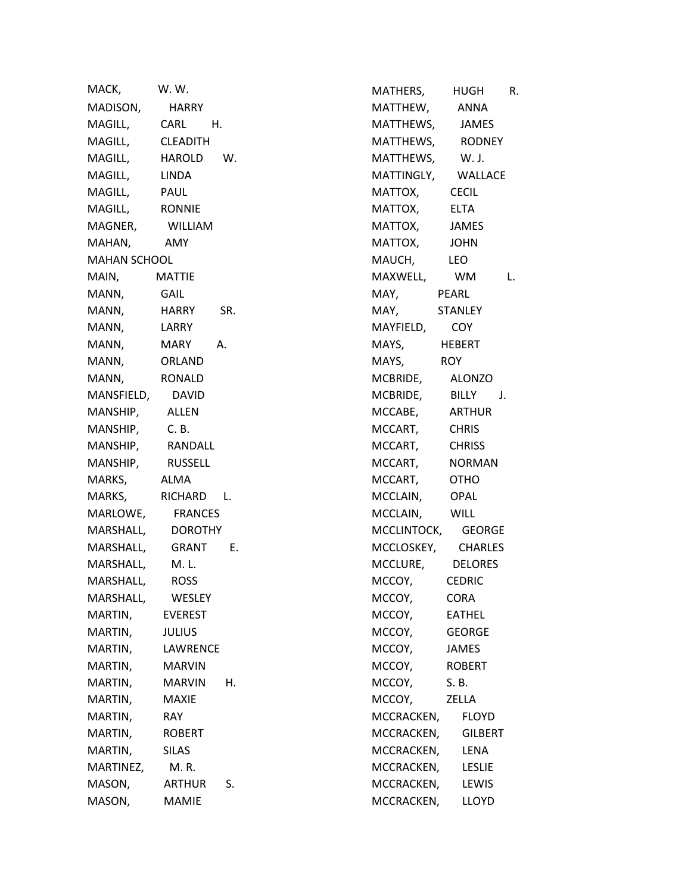| MACK,               | W.W.           |    |  |
|---------------------|----------------|----|--|
| MADISON, HARRY      |                |    |  |
| MAGILL, CARL H.     |                |    |  |
| MAGILL, CLEADITH    |                |    |  |
| MAGILL, HAROLD W.   |                |    |  |
| MAGILL, LINDA       |                |    |  |
| MAGILL, PAUL        |                |    |  |
| MAGILL, RONNIE      |                |    |  |
| MAGNER, WILLIAM     |                |    |  |
| MAHAN, AMY          |                |    |  |
| <b>MAHAN SCHOOL</b> |                |    |  |
| MAIN, MATTIE        |                |    |  |
| MANN, GAIL          |                |    |  |
| MANN, HARRY SR.     |                |    |  |
| MANN,               | LARRY          |    |  |
| MANN, MARY A.       |                |    |  |
| MANN, ORLAND        |                |    |  |
| MANN, RONALD        |                |    |  |
| MANSFIELD, DAVID    |                |    |  |
| MANSHIP, ALLEN      |                |    |  |
| MANSHIP, C.B.       |                |    |  |
| MANSHIP, RANDALL    |                |    |  |
| MANSHIP, RUSSELL    |                |    |  |
| MARKS, ALMA         |                |    |  |
| MARKS, RICHARD L.   |                |    |  |
| MARLOWE, FRANCES    |                |    |  |
| MARSHALL, DOROTHY   |                |    |  |
| MARSHALL, GRANT E.  |                |    |  |
| MARSHALL, M. L.     |                |    |  |
| MARSHALL, ROSS      |                |    |  |
| MARSHALL,           | WESLEY         |    |  |
| MARTIN,             | <b>EVEREST</b> |    |  |
| MARTIN,             | <b>JULIUS</b>  |    |  |
| MARTIN,             | LAWRENCE       |    |  |
| MARTIN,             | <b>MARVIN</b>  |    |  |
| MARTIN,             | MARVIN         | Н. |  |
| MARTIN,             | <b>MAXIE</b>   |    |  |
| MARTIN,             | <b>RAY</b>     |    |  |
| MARTIN,             | <b>ROBERT</b>  |    |  |
| MARTIN,             | SILAS          |    |  |
| MARTINEZ,           | M.R.           |    |  |
| MASON,              | <b>ARTHUR</b>  | S. |  |
| MASON,              | MAMIE          |    |  |

MATHERS, HUGH R. MATTHEW, ANNA MATTHEWS, JAMES MATTHEWS, RODNEY MATTHEWS, W. J. MATTINGLY, WALLACE MATTOX, CECIL MATTOX, ELTA MATTOX, JAMES MATTOX, JOHN MAUCH, LEO MAXWELL, WM L. MAY, PEARL MAY, STANLEY MAYFIELD, COY MAYS, HEBERT MAYS, ROY MCBRIDE, ALONZO MCBRIDE, BILLY J. MCCABE, ARTHUR MCCART, CHRIS MCCART, CHRISS MCCART, NORMAN MCCART, OTHO MCCLAIN, OPAL MCCLAIN, WILL MCCLINTOCK, GEORGE MCCLOSKEY, CHARLES MCCLURE, DELORES MCCOY, CEDRIC MCCOY, CORA MCCOY, EATHEL MCCOY, GEORGE MCCOY, JAMES MCCOY, ROBERT MCCOY, S.B. MCCOY, ZELLA MCCRACKEN, FLOYD MCCRACKEN, GILBERT MCCRACKEN, LENA MCCRACKEN, LESLIE MCCRACKEN, LEWIS MCCRACKEN, LLOYD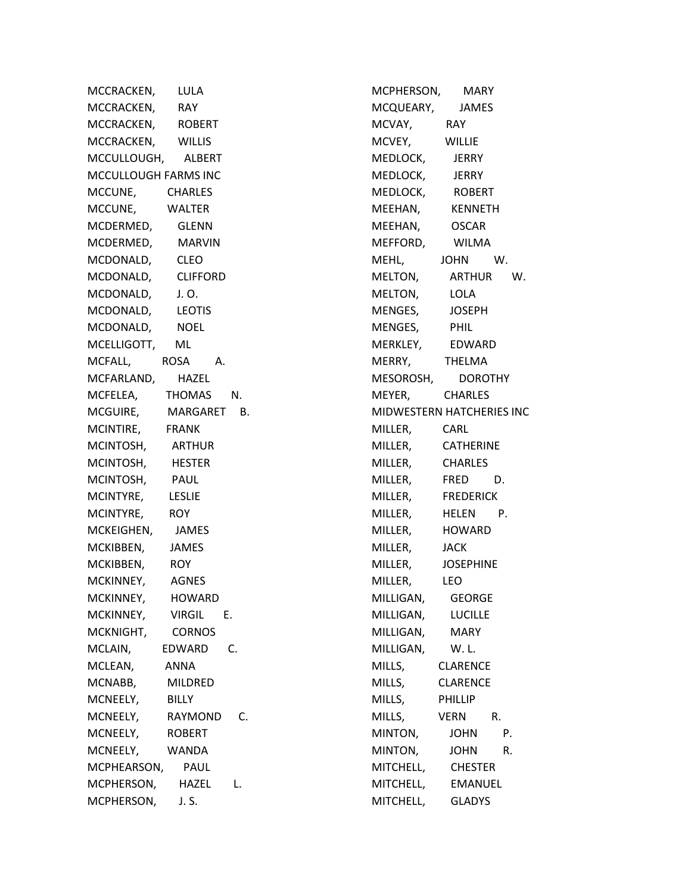MCCRACKEN, LULA MCCRACKEN, RAY MCCRACKEN, ROBERT MCCRACKEN, WILLIS MCCULLOUGH, ALBERT MCCULLOUGH FARMS INC MCCUNE, CHARLES MCCUNE, WALTER MCDERMED, GLENN MCDERMED, MARVIN MCDONALD, CLEO MCDONALD, CLIFFORD MCDONALD, J. O. MCDONALD, LEOTIS MCDONALD, NOEL MCELLIGOTT, ML MCFALL, ROSA A. MCFARLAND, HAZEL MCFELEA, THOMAS N. MCGUIRE, MARGARET B. MCINTIRE, FRANK MCINTOSH, ARTHUR MCINTOSH, HESTER MCINTOSH, PAUL MCINTYRE, LESLIE MCINTYRE, ROY MCKEIGHEN, JAMES MCKIBBEN, JAMES MCKIBBEN, ROY MCKINNEY, AGNES MCKINNEY, HOWARD MCKINNEY, VIRGIL E. MCKNIGHT, CORNOS MCLAIN, EDWARD C. MCLEAN, ANNA MCNABB, MILDRED MCNEELY, BILLY MCNEELY, RAYMOND C. MCNEELY, ROBERT MCNEELY, WANDA MCPHEARSON, PAUL MCPHERSON, HAZEL L. MCPHERSON, J. S.

MCPHERSON, MARY MCQUEARY, JAMES MCVAY, RAY MCVEY, WILLIE MEDLOCK, JERRY MEDLOCK, JERRY MEDLOCK, ROBERT MEEHAN, KENNETH MEEHAN, OSCAR MEFFORD, WILMA MEHL, JOHN W. MELTON, ARTHUR W. MELTON, LOLA MENGES, JOSEPH MENGES, PHIL MERKLEY, EDWARD MERRY, THELMA MESOROSH, DOROTHY MEYER, CHARLES MIDWESTERN HATCHERIES INC MILLER, CARL MILLER, CATHERINE MILLER, CHARLES MILLER, FRED D. MILLER, FREDERICK MILLER, HELEN P. MILLER, HOWARD MILLER, JACK MILLER, JOSEPHINE MILLER, LEO MILLIGAN, GEORGE MILLIGAN, LUCILLE MILLIGAN, MARY MILLIGAN, W. L. MILLS, CLARENCE MILLS, CLARENCE MILLS, PHILLIP MILLS, VERN R. MINTON, JOHN P. MINTON, JOHN R. MITCHELL, CHESTER MITCHELL, EMANUEL MITCHELL, GLADYS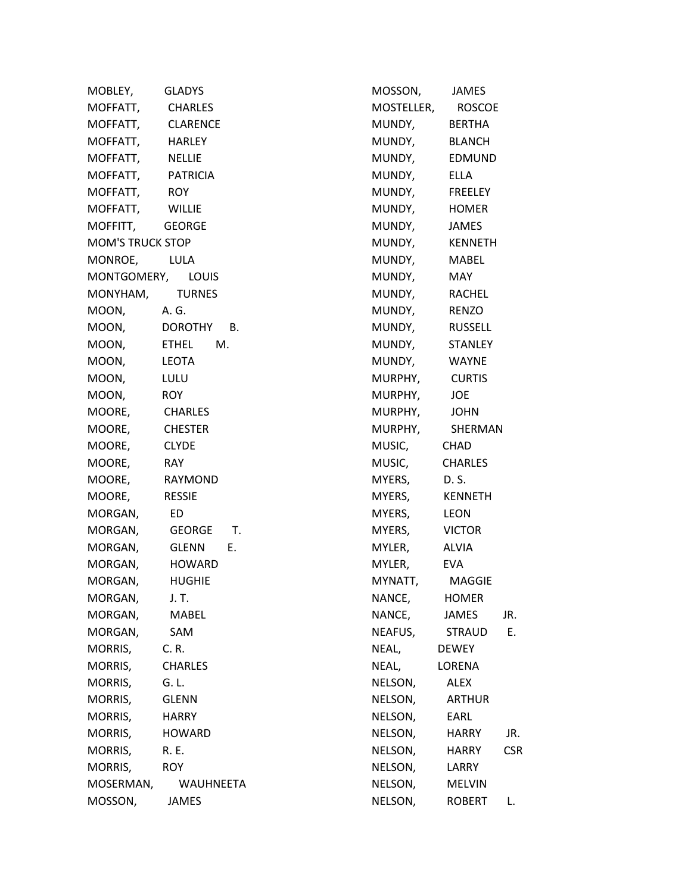| MOBLEY, GLADYS          |                   |
|-------------------------|-------------------|
| MOFFATT, CHARLES        |                   |
| MOFFATT, CLARENCE       |                   |
| MOFFATT, HARLEY         |                   |
| MOFFATT, NELLIE         |                   |
| MOFFATT, PATRICIA       |                   |
| MOFFATT, ROY            |                   |
| MOFFATT, WILLIE         |                   |
| MOFFITT, GEORGE         |                   |
| <b>MOM'S TRUCK STOP</b> |                   |
| MONROE, LULA            |                   |
| MONTGOMERY, LOUIS       |                   |
| MONYHAM, TURNES         |                   |
| MOON, A.G.              |                   |
|                         | MOON, DOROTHY B.  |
|                         | MOON, ETHEL M.    |
| MOON, LEOTA             |                   |
| MOON, LULU              |                   |
| MOON, ROY               |                   |
| MOORE, CHARLES          |                   |
| MOORE, CHESTER          |                   |
| MOORE, CLYDE            |                   |
| MOORE, RAY              |                   |
| MOORE, RAYMOND          |                   |
| MOORE, RESSIE           |                   |
| MORGAN, ED              |                   |
|                         | MORGAN, GEORGE T. |
|                         | MORGAN, GLENN E.  |
| MORGAN, HOWARD          |                   |
| MORGAN, HUGHIE          |                   |
| MORGAN,                 | J. T.             |
| MORGAN,                 | <b>MABEL</b>      |
| MORGAN,                 | <b>SAM</b>        |
| MORRIS,                 | C. R.             |
| MORRIS,                 | <b>CHARLES</b>    |
| MORRIS,                 | G. L.             |
| MORRIS,                 | <b>GLENN</b>      |
| MORRIS,                 | <b>HARRY</b>      |
| MORRIS,                 | <b>HOWARD</b>     |
| MORRIS,                 | R. E.             |
| MORRIS,                 | <b>ROY</b>        |
| MOSERMAN,               | WAUHNEETA         |
| MOSSON,                 | JAMES             |

| MOSSON,    | JAMES          |            |  |
|------------|----------------|------------|--|
| MOSTELLER, | ROSCOE         |            |  |
| MUNDY,     | <b>BERTHA</b>  |            |  |
| MUNDY,     | <b>BLANCH</b>  |            |  |
| MUNDY,     | <b>EDMUND</b>  |            |  |
| MUNDY,     | ELLA           |            |  |
| MUNDY,     | FREELEY        |            |  |
| MUNDY,     | HOMER          |            |  |
| MUNDY,     | JAMES          |            |  |
| MUNDY,     | <b>KENNETH</b> |            |  |
| MUNDY,     | MABEL          |            |  |
| MUNDY,     | MAY            |            |  |
| MUNDY,     | <b>RACHEL</b>  |            |  |
| MUNDY,     | RENZO          |            |  |
| MUNDY,     | RUSSELL        |            |  |
| MUNDY,     | <b>STANLEY</b> |            |  |
| MUNDY,     | <b>WAYNE</b>   |            |  |
| MURPHY,    | <b>CURTIS</b>  |            |  |
| MURPHY,    | JOE            |            |  |
| MURPHY,    | <b>JOHN</b>    |            |  |
| MURPHY,    | SHERMAN        |            |  |
| MUSIC,     | CHAD           |            |  |
| MUSIC,     | <b>CHARLES</b> |            |  |
| MYERS,     | D. S.          |            |  |
| MYERS,     | <b>KENNETH</b> |            |  |
| MYERS,     | LEON           |            |  |
| MYERS,     | <b>VICTOR</b>  |            |  |
| MYLER,     | <b>ALVIA</b>   |            |  |
| MYLER,     | EVA.           |            |  |
| MYNATT,    | MAGGIE         |            |  |
| NANCE,     | <b>HOMER</b>   |            |  |
| NANCE,     | <b>JAMES</b>   | JR.        |  |
| NEAFUS,    | STRAUD         | E.         |  |
| NEAL,      | <b>DEWEY</b>   |            |  |
| NEAL,      | LORENA         |            |  |
| NELSON,    | ALEX           |            |  |
| NELSON,    | <b>ARTHUR</b>  |            |  |
| NELSON,    | EARL           |            |  |
| NELSON,    | <b>HARRY</b>   | JR.        |  |
| NELSON,    | <b>HARRY</b>   | <b>CSR</b> |  |
| NELSON,    | <b>LARRY</b>   |            |  |
| NELSON,    | <b>MELVIN</b>  |            |  |
| NELSON,    | ROBERT         | L.         |  |